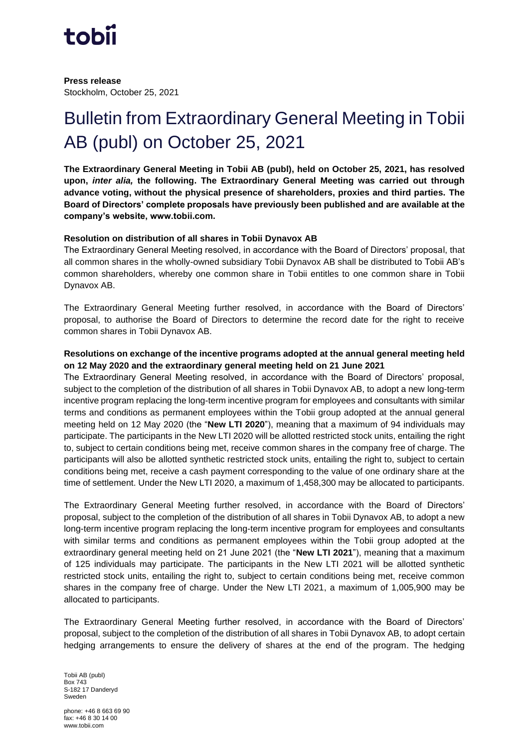

**Press release** Stockholm, October 25, 2021

# Bulletin from Extraordinary General Meeting in Tobii AB (publ) on October 25, 2021

**The Extraordinary General Meeting in Tobii AB (publ), held on October 25, 2021, has resolved upon,** *inter alia,* **the following. The Extraordinary General Meeting was carried out through advance voting, without the physical presence of shareholders, proxies and third parties. The Board of Directors' complete proposals have previously been published and are available at the company's website, www.tobii.com.**

## **Resolution on distribution of all shares in Tobii Dynavox AB**

The Extraordinary General Meeting resolved, in accordance with the Board of Directors' proposal, that all common shares in the wholly-owned subsidiary Tobii Dynavox AB shall be distributed to Tobii AB's common shareholders, whereby one common share in Tobii entitles to one common share in Tobii Dynavox AB.

The Extraordinary General Meeting further resolved, in accordance with the Board of Directors' proposal, to authorise the Board of Directors to determine the record date for the right to receive common shares in Tobii Dynavox AB.

## **Resolutions on exchange of the incentive programs adopted at the annual general meeting held on 12 May 2020 and the extraordinary general meeting held on 21 June 2021**

The Extraordinary General Meeting resolved, in accordance with the Board of Directors' proposal, subject to the completion of the distribution of all shares in Tobii Dynavox AB, to adopt a new long-term incentive program replacing the long-term incentive program for employees and consultants with similar terms and conditions as permanent employees within the Tobii group adopted at the annual general meeting held on 12 May 2020 (the "**New LTI 2020**"), meaning that a maximum of 94 individuals may participate. The participants in the New LTI 2020 will be allotted restricted stock units, entailing the right to, subject to certain conditions being met, receive common shares in the company free of charge. The participants will also be allotted synthetic restricted stock units, entailing the right to, subject to certain conditions being met, receive a cash payment corresponding to the value of one ordinary share at the time of settlement. Under the New LTI 2020, a maximum of 1,458,300 may be allocated to participants.

The Extraordinary General Meeting further resolved, in accordance with the Board of Directors' proposal, subject to the completion of the distribution of all shares in Tobii Dynavox AB, to adopt a new long-term incentive program replacing the long-term incentive program for employees and consultants with similar terms and conditions as permanent employees within the Tobii group adopted at the extraordinary general meeting held on 21 June 2021 (the "**New LTI 2021**"), meaning that a maximum of 125 individuals may participate. The participants in the New LTI 2021 will be allotted synthetic restricted stock units, entailing the right to, subject to certain conditions being met, receive common shares in the company free of charge. Under the New LTI 2021, a maximum of 1,005,900 may be allocated to participants.

The Extraordinary General Meeting further resolved, in accordance with the Board of Directors' proposal, subject to the completion of the distribution of all shares in Tobii Dynavox AB, to adopt certain hedging arrangements to ensure the delivery of shares at the end of the program. The hedging

Tobii AB (publ) Box 743 S-182 17 Danderyd Sweden

phone: +46 8 663 69 90 fax: +46 8 30 14 00 www.tobii.com